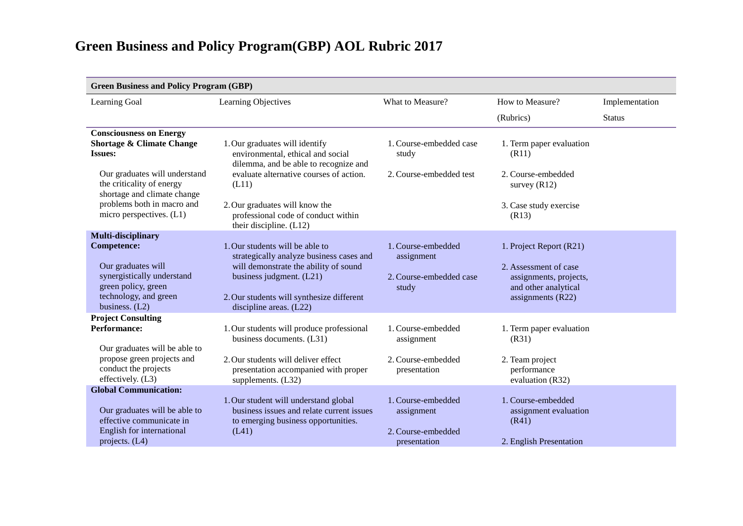| <b>Green Business and Policy Program (GBP)</b>                                                                                                                                                                                                  |                                                                                                                                                                                                                                                                        |                                                                        |                                                                                                                           |                |  |
|-------------------------------------------------------------------------------------------------------------------------------------------------------------------------------------------------------------------------------------------------|------------------------------------------------------------------------------------------------------------------------------------------------------------------------------------------------------------------------------------------------------------------------|------------------------------------------------------------------------|---------------------------------------------------------------------------------------------------------------------------|----------------|--|
| Learning Goal                                                                                                                                                                                                                                   | Learning Objectives                                                                                                                                                                                                                                                    | What to Measure?                                                       | How to Measure?                                                                                                           | Implementation |  |
|                                                                                                                                                                                                                                                 |                                                                                                                                                                                                                                                                        |                                                                        | (Rubrics)                                                                                                                 | <b>Status</b>  |  |
| <b>Consciousness on Energy</b><br><b>Shortage &amp; Climate Change</b><br><b>Issues:</b><br>Our graduates will understand<br>the criticality of energy<br>shortage and climate change<br>problems both in macro and<br>micro perspectives. (L1) | 1. Our graduates will identify<br>environmental, ethical and social<br>dilemma, and be able to recognize and<br>evaluate alternative courses of action.<br>(L11)<br>2. Our graduates will know the<br>professional code of conduct within<br>their discipline. $(L12)$ | 1. Course-embedded case<br>study<br>2. Course-embedded test            | 1. Term paper evaluation<br>(R11)<br>2. Course-embedded<br>survey $(R12)$<br>3. Case study exercise<br>(R13)              |                |  |
| Multi-disciplinary<br><b>Competence:</b><br>Our graduates will<br>synergistically understand<br>green policy, green<br>technology, and green<br>business. $(L2)$                                                                                | 1. Our students will be able to<br>strategically analyze business cases and<br>will demonstrate the ability of sound<br>business judgment. $(L21)$<br>2. Our students will synthesize different<br>discipline areas. $(L22)$                                           | 1. Course-embedded<br>assignment<br>2. Course-embedded case<br>study   | 1. Project Report (R21)<br>2. Assessment of case<br>assignments, projects,<br>and other analytical<br>assignments $(R22)$ |                |  |
| <b>Project Consulting</b><br><b>Performance:</b><br>Our graduates will be able to<br>propose green projects and<br>conduct the projects<br>effectively. (L3)                                                                                    | 1. Our students will produce professional<br>business documents. (L31)<br>2. Our students will deliver effect<br>presentation accompanied with proper<br>supplements. (L32)                                                                                            | 1. Course-embedded<br>assignment<br>2. Course-embedded<br>presentation | 1. Term paper evaluation<br>(R31)<br>2. Team project<br>performance<br>evaluation (R32)                                   |                |  |
| <b>Global Communication:</b><br>Our graduates will be able to<br>effective communicate in<br><b>English for international</b><br>projects. $(L4)$                                                                                               | 1. Our student will understand global<br>business issues and relate current issues<br>to emerging business opportunities.<br>(L41)                                                                                                                                     | 1. Course-embedded<br>assignment<br>2. Course-embedded<br>presentation | 1. Course-embedded<br>assignment evaluation<br>(R41)<br>2. English Presentation                                           |                |  |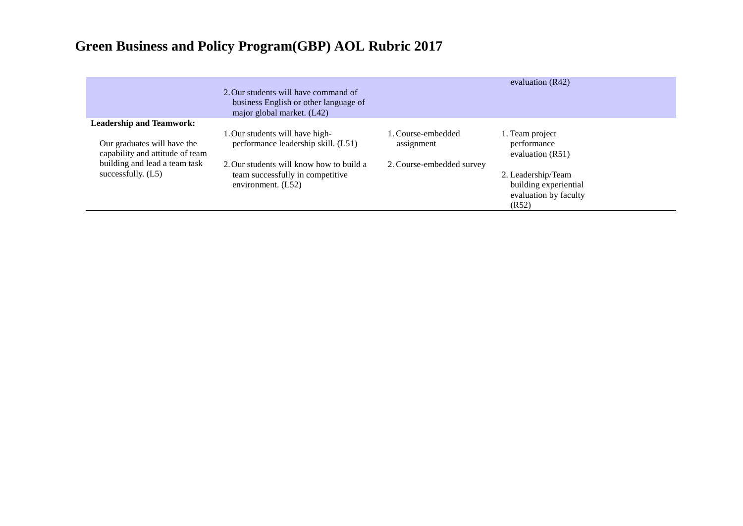|                                                                | 2. Our students will have command of<br>business English or other language of<br>major global market. (L42) |                                  | evaluation $(R42)$                                                            |
|----------------------------------------------------------------|-------------------------------------------------------------------------------------------------------------|----------------------------------|-------------------------------------------------------------------------------|
| <b>Leadership and Teamwork:</b>                                |                                                                                                             |                                  |                                                                               |
| Our graduates will have the<br>capability and attitude of team | 1. Our students will have high-<br>performance leadership skill. (L51)                                      | 1. Course-embedded<br>assignment | 1. Team project<br>performance<br>evaluation $(R51)$                          |
| building and lead a team task<br>successfully. $(L5)$          | 2. Our students will know how to build a<br>team successfully in competitive<br>environment. $(L52)$        | 2. Course-embedded survey        | 2. Leadership/Team<br>building experiential<br>evaluation by faculty<br>(R52) |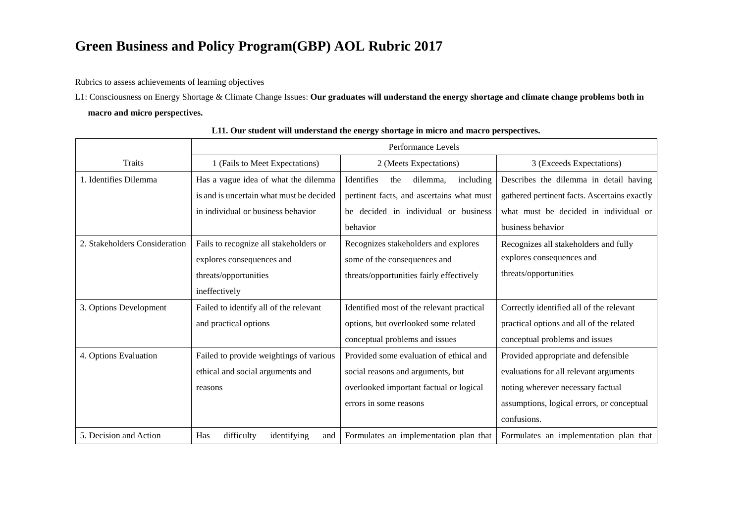Rubrics to assess achievements of learning objectives

L1: Consciousness on Energy Shortage & Climate Change Issues: **Our graduates will understand the energy shortage and climate change problems both in macro and micro perspectives.**

|                               | Performance Levels                       |                                            |                                              |
|-------------------------------|------------------------------------------|--------------------------------------------|----------------------------------------------|
| <b>Traits</b>                 | 1 (Fails to Meet Expectations)           | 2 (Meets Expectations)                     | 3 (Exceeds Expectations)                     |
| 1. Identifies Dilemma         | Has a vague idea of what the dilemma     | Identifies<br>including<br>the<br>dilemma, | Describes the dilemma in detail having       |
|                               | is and is uncertain what must be decided | pertinent facts, and ascertains what must  | gathered pertinent facts. Ascertains exactly |
|                               | in individual or business behavior       | be decided in individual or business       | what must be decided in individual or        |
|                               |                                          | behavior                                   | business behavior                            |
| 2. Stakeholders Consideration | Fails to recognize all stakeholders or   | Recognizes stakeholders and explores       | Recognizes all stakeholders and fully        |
|                               | explores consequences and                | some of the consequences and               | explores consequences and                    |
|                               | threats/opportunities                    | threats/opportunities fairly effectively   | threats/opportunities                        |
|                               | ineffectively                            |                                            |                                              |
| 3. Options Development        | Failed to identify all of the relevant   | Identified most of the relevant practical  | Correctly identified all of the relevant     |
|                               | and practical options                    | options, but overlooked some related       | practical options and all of the related     |
|                               |                                          | conceptual problems and issues             | conceptual problems and issues               |
| 4. Options Evaluation         | Failed to provide weightings of various  | Provided some evaluation of ethical and    | Provided appropriate and defensible          |
|                               | ethical and social arguments and         | social reasons and arguments, but          | evaluations for all relevant arguments       |
|                               | reasons                                  | overlooked important factual or logical    | noting wherever necessary factual            |
|                               |                                          | errors in some reasons                     | assumptions, logical errors, or conceptual   |
|                               |                                          |                                            | confusions.                                  |
| 5. Decision and Action        | Has<br>difficulty<br>identifying<br>and  | Formulates an implementation plan that     | Formulates an implementation plan that       |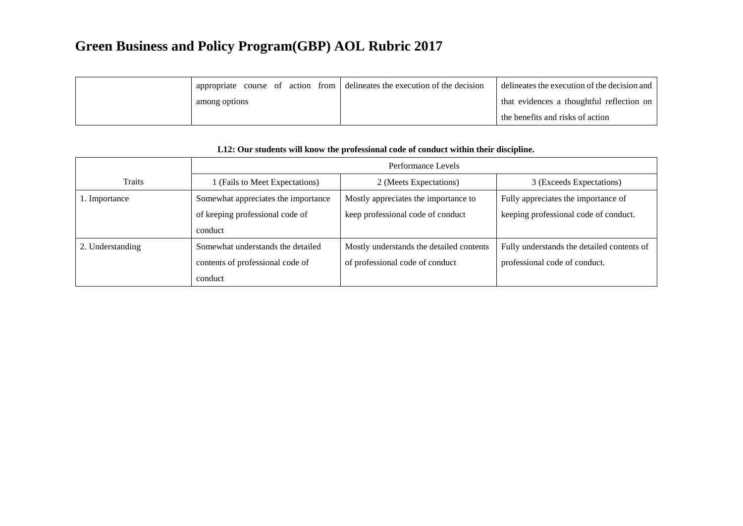|               |  | propriate course of action from $\vert$ delineates the execution of the decision | delineates the execution of the decision and |
|---------------|--|----------------------------------------------------------------------------------|----------------------------------------------|
| among options |  |                                                                                  | that evidences a thoughtful reflection on    |
|               |  |                                                                                  | the benefits and risks of action             |

|                  | Performance Levels                  |                                          |                                            |
|------------------|-------------------------------------|------------------------------------------|--------------------------------------------|
| Traits           | 1 (Fails to Meet Expectations)      | 2 (Meets Expectations)                   | 3 (Exceeds Expectations)                   |
| 1. Importance    | Somewhat appreciates the importance | Mostly appreciates the importance to     | Fully appreciates the importance of        |
|                  | of keeping professional code of     | keep professional code of conduct        | keeping professional code of conduct.      |
|                  | conduct                             |                                          |                                            |
| 2. Understanding | Somewhat understands the detailed   | Mostly understands the detailed contents | Fully understands the detailed contents of |
|                  | contents of professional code of    | of professional code of conduct          | professional code of conduct.              |
|                  | conduct                             |                                          |                                            |

#### **L12: Our students will know the professional code of conduct within their discipline.**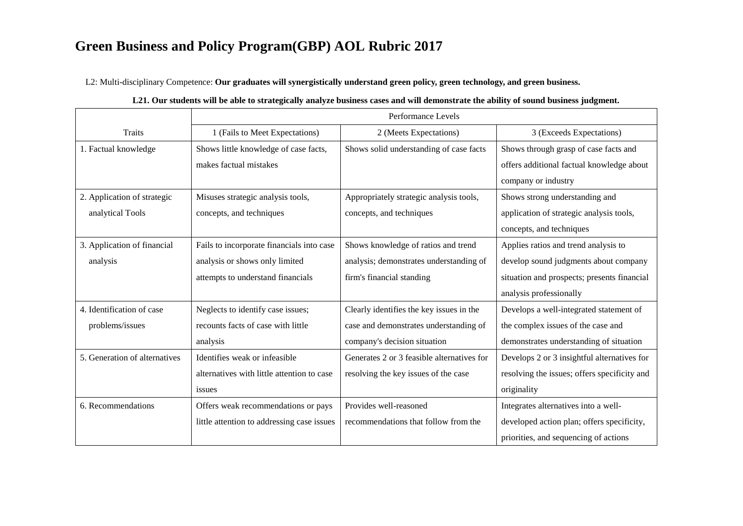L2: Multi-disciplinary Competence: **Our graduates will synergistically understand green policy, green technology, and green business.**

|                               | Performance Levels                         |                                            |                                              |
|-------------------------------|--------------------------------------------|--------------------------------------------|----------------------------------------------|
|                               |                                            |                                            |                                              |
| Traits                        | 1 (Fails to Meet Expectations)             | 2 (Meets Expectations)                     | 3 (Exceeds Expectations)                     |
| 1. Factual knowledge          | Shows little knowledge of case facts,      | Shows solid understanding of case facts    | Shows through grasp of case facts and        |
|                               | makes factual mistakes                     |                                            | offers additional factual knowledge about    |
|                               |                                            |                                            | company or industry                          |
| 2. Application of strategic   | Misuses strategic analysis tools,          | Appropriately strategic analysis tools,    | Shows strong understanding and               |
| analytical Tools              | concepts, and techniques                   | concepts, and techniques                   | application of strategic analysis tools,     |
|                               |                                            |                                            | concepts, and techniques                     |
| 3. Application of financial   | Fails to incorporate financials into case  | Shows knowledge of ratios and trend        | Applies ratios and trend analysis to         |
| analysis                      | analysis or shows only limited             | analysis; demonstrates understanding of    | develop sound judgments about company        |
|                               | attempts to understand financials          | firm's financial standing                  | situation and prospects; presents financial  |
|                               |                                            |                                            | analysis professionally                      |
| 4. Identification of case     | Neglects to identify case issues;          | Clearly identifies the key issues in the   | Develops a well-integrated statement of      |
| problems/issues               | recounts facts of case with little         | case and demonstrates understanding of     | the complex issues of the case and           |
|                               | analysis                                   | company's decision situation               | demonstrates understanding of situation      |
| 5. Generation of alternatives | Identifies weak or infeasible              | Generates 2 or 3 feasible alternatives for | Develops 2 or 3 insightful alternatives for  |
|                               | alternatives with little attention to case | resolving the key issues of the case       | resolving the issues; offers specificity and |
|                               | issues                                     |                                            | originality                                  |
| 6. Recommendations            | Offers weak recommendations or pays        | Provides well-reasoned                     | Integrates alternatives into a well-         |
|                               | little attention to addressing case issues | recommendations that follow from the       | developed action plan; offers specificity,   |
|                               |                                            |                                            | priorities, and sequencing of actions        |

| L21. Our students will be able to strategically analyze business cases and will demonstrate the ability of sound business judgment. |  |  |
|-------------------------------------------------------------------------------------------------------------------------------------|--|--|
|-------------------------------------------------------------------------------------------------------------------------------------|--|--|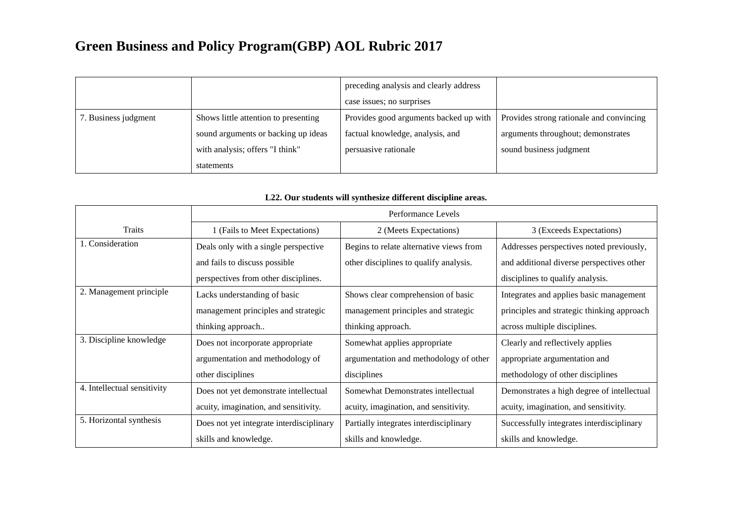|                      |                                      | preceding analysis and clearly address |                                          |
|----------------------|--------------------------------------|----------------------------------------|------------------------------------------|
|                      |                                      | case issues; no surprises              |                                          |
| 7. Business judgment | Shows little attention to presenting | Provides good arguments backed up with | Provides strong rationale and convincing |
|                      | sound arguments or backing up ideas  | factual knowledge, analysis, and       | arguments throughout; demonstrates       |
|                      | with analysis; offers "I think"      | persuasive rationale                   | sound business judgment                  |
|                      | statements                           |                                        |                                          |

|                             |                                          | Performance Levels                      |                                            |
|-----------------------------|------------------------------------------|-----------------------------------------|--------------------------------------------|
| Traits                      | 1 (Fails to Meet Expectations)           | 2 (Meets Expectations)                  | 3 (Exceeds Expectations)                   |
| 1. Consideration            | Deals only with a single perspective     | Begins to relate alternative views from | Addresses perspectives noted previously,   |
|                             | and fails to discuss possible            | other disciplines to qualify analysis.  | and additional diverse perspectives other  |
|                             | perspectives from other disciplines.     |                                         | disciplines to qualify analysis.           |
| 2. Management principle     | Lacks understanding of basic             | Shows clear comprehension of basic      | Integrates and applies basic management    |
|                             | management principles and strategic      | management principles and strategic     | principles and strategic thinking approach |
|                             | thinking approach                        | thinking approach.                      | across multiple disciplines.               |
| 3. Discipline knowledge     | Does not incorporate appropriate         | Somewhat applies appropriate            | Clearly and reflectively applies           |
|                             | argumentation and methodology of         | argumentation and methodology of other  | appropriate argumentation and              |
|                             | other disciplines                        | disciplines                             | methodology of other disciplines           |
| 4. Intellectual sensitivity | Does not yet demonstrate intellectual    | Somewhat Demonstrates intellectual      | Demonstrates a high degree of intellectual |
|                             | acuity, imagination, and sensitivity.    | acuity, imagination, and sensitivity.   | acuity, imagination, and sensitivity.      |
| 5. Horizontal synthesis     | Does not yet integrate interdisciplinary | Partially integrates interdisciplinary  | Successfully integrates interdisciplinary  |
|                             | skills and knowledge.                    | skills and knowledge.                   | skills and knowledge.                      |

#### **L22. Our students will synthesize different discipline areas.**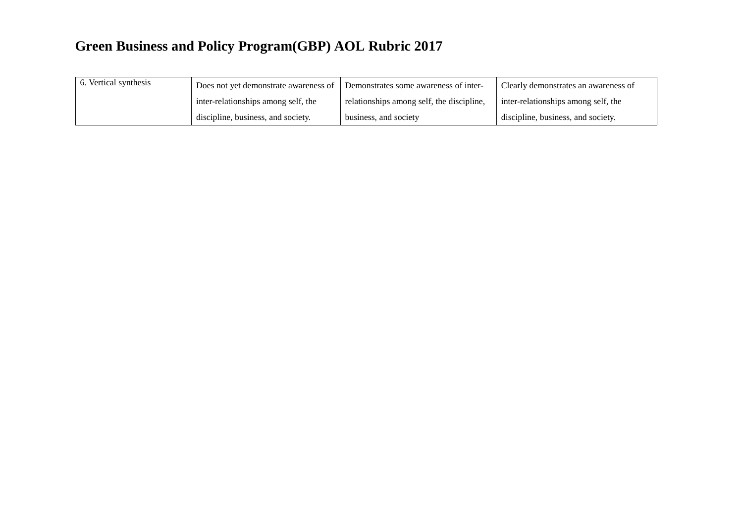| 6. Vertical synthesis | Does not yet demonstrate awareness of | Demonstrates some awareness of inter-     | Clearly demonstrates an awareness of |
|-----------------------|---------------------------------------|-------------------------------------------|--------------------------------------|
|                       | inter-relationships among self, the   | relationships among self, the discipline, | inter-relationships among self, the  |
|                       | discipline, business, and society.    | business, and society                     | discipline, business, and society.   |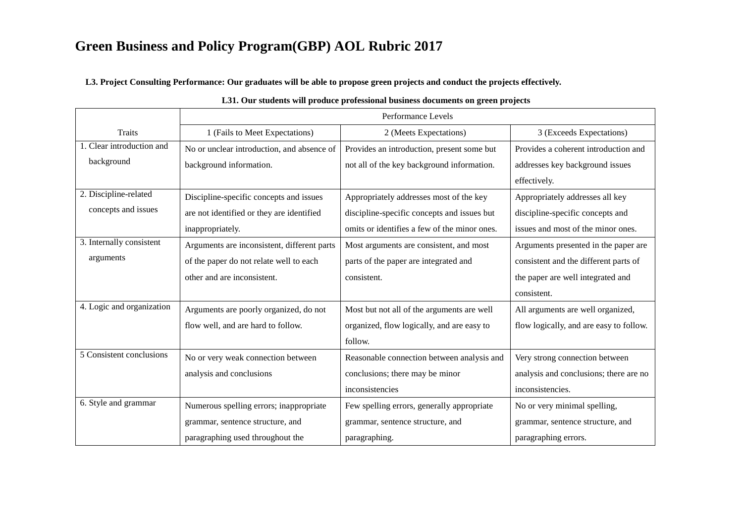**L3. Project Consulting Performance: Our graduates will be able to propose green projects and conduct the projects effectively.**

|                           | Performance Levels                          |                                              |                                         |
|---------------------------|---------------------------------------------|----------------------------------------------|-----------------------------------------|
| <b>Traits</b>             | 1 (Fails to Meet Expectations)              | 2 (Meets Expectations)                       | 3 (Exceeds Expectations)                |
| 1. Clear introduction and | No or unclear introduction, and absence of  | Provides an introduction, present some but   | Provides a coherent introduction and    |
| background                | background information.                     | not all of the key background information.   | addresses key background issues         |
|                           |                                             |                                              | effectively.                            |
| 2. Discipline-related     | Discipline-specific concepts and issues     | Appropriately addresses most of the key      | Appropriately addresses all key         |
| concepts and issues       | are not identified or they are identified   | discipline-specific concepts and issues but  | discipline-specific concepts and        |
|                           | inappropriately.                            | omits or identifies a few of the minor ones. | issues and most of the minor ones.      |
| 3. Internally consistent  | Arguments are inconsistent, different parts | Most arguments are consistent, and most      | Arguments presented in the paper are    |
| arguments                 | of the paper do not relate well to each     | parts of the paper are integrated and        | consistent and the different parts of   |
|                           | other and are inconsistent.                 | consistent.                                  | the paper are well integrated and       |
|                           |                                             |                                              | consistent.                             |
| 4. Logic and organization | Arguments are poorly organized, do not      | Most but not all of the arguments are well   | All arguments are well organized,       |
|                           | flow well, and are hard to follow.          | organized, flow logically, and are easy to   | flow logically, and are easy to follow. |
|                           |                                             | follow.                                      |                                         |
| 5 Consistent conclusions  | No or very weak connection between          | Reasonable connection between analysis and   | Very strong connection between          |
|                           | analysis and conclusions                    | conclusions; there may be minor              | analysis and conclusions; there are no  |
|                           |                                             | inconsistencies                              | inconsistencies.                        |
| 6. Style and grammar      | Numerous spelling errors; inappropriate     | Few spelling errors, generally appropriate   | No or very minimal spelling,            |
|                           | grammar, sentence structure, and            | grammar, sentence structure, and             | grammar, sentence structure, and        |
|                           | paragraphing used throughout the            | paragraphing.                                | paragraphing errors.                    |

#### **L31. Our students will produce professional business documents on green projects**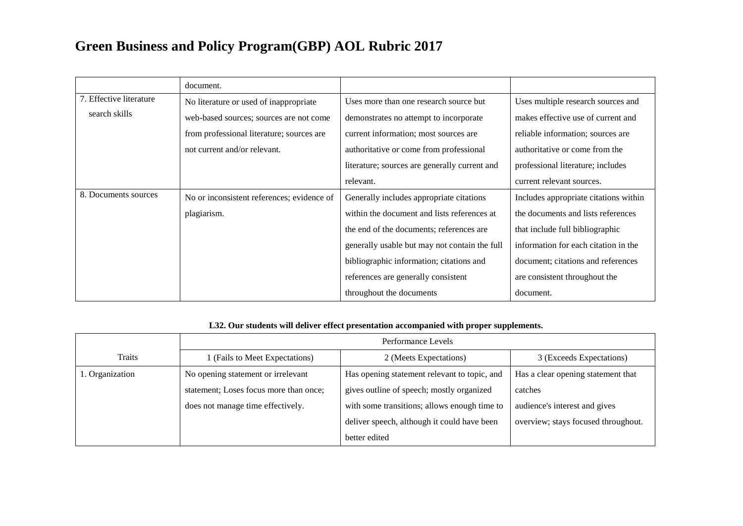|                         | document.                                  |                                               |                                       |
|-------------------------|--------------------------------------------|-----------------------------------------------|---------------------------------------|
| 7. Effective literature | No literature or used of inappropriate     | Uses more than one research source but        | Uses multiple research sources and    |
| search skills           | web-based sources; sources are not come    | demonstrates no attempt to incorporate        | makes effective use of current and    |
|                         | from professional literature; sources are  | current information; most sources are         | reliable information; sources are     |
|                         | not current and/or relevant.               | authoritative or come from professional       | authoritative or come from the        |
|                         |                                            | literature; sources are generally current and | professional literature; includes     |
|                         |                                            | relevant.                                     | current relevant sources.             |
| 8. Documents sources    | No or inconsistent references; evidence of | Generally includes appropriate citations      | Includes appropriate citations within |
|                         | plagiarism.                                | within the document and lists references at   | the documents and lists references    |
|                         |                                            | the end of the documents; references are      | that include full bibliographic       |
|                         |                                            | generally usable but may not contain the full | information for each citation in the  |
|                         |                                            | bibliographic information; citations and      | document; citations and references    |
|                         |                                            | references are generally consistent           | are consistent throughout the         |
|                         |                                            | throughout the documents                      | document.                             |

#### **L32. Our students will deliver effect presentation accompanied with proper supplements.**

|                 | Performance Levels                     |                                              |                                     |
|-----------------|----------------------------------------|----------------------------------------------|-------------------------------------|
| Traits          | 1 (Fails to Meet Expectations)         | 2 (Meets Expectations)                       | 3 (Exceeds Expectations)            |
| 1. Organization | No opening statement or irrelevant     | Has opening statement relevant to topic, and | Has a clear opening statement that  |
|                 | statement; Loses focus more than once; | gives outline of speech; mostly organized    | catches                             |
|                 | does not manage time effectively.      | with some transitions; allows enough time to | audience's interest and gives       |
|                 |                                        | deliver speech, although it could have been  | overview; stays focused throughout. |
|                 |                                        | better edited                                |                                     |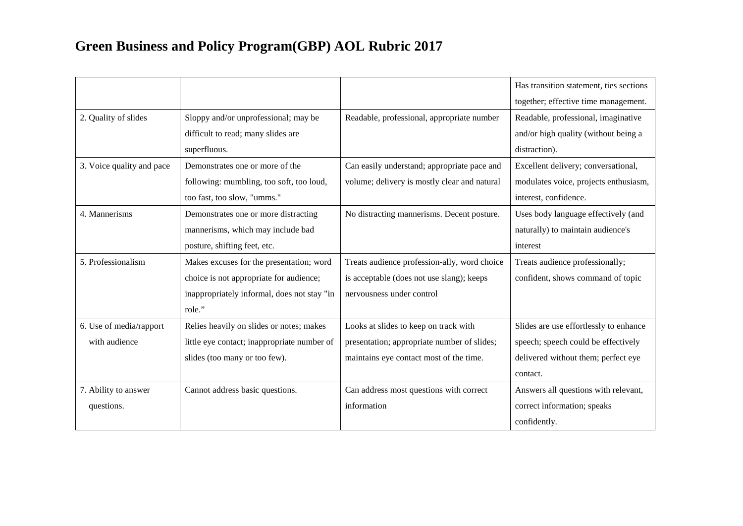|                           |                                             |                                              | Has transition statement, ties sections |
|---------------------------|---------------------------------------------|----------------------------------------------|-----------------------------------------|
|                           |                                             |                                              | together; effective time management.    |
| 2. Quality of slides      | Sloppy and/or unprofessional; may be        | Readable, professional, appropriate number   | Readable, professional, imaginative     |
|                           | difficult to read; many slides are          |                                              | and/or high quality (without being a    |
|                           | superfluous.                                |                                              | distraction).                           |
| 3. Voice quality and pace | Demonstrates one or more of the             | Can easily understand; appropriate pace and  | Excellent delivery; conversational,     |
|                           | following: mumbling, too soft, too loud,    | volume; delivery is mostly clear and natural | modulates voice, projects enthusiasm,   |
|                           | too fast, too slow, "umms."                 |                                              | interest, confidence.                   |
| 4. Mannerisms             | Demonstrates one or more distracting        | No distracting mannerisms. Decent posture.   | Uses body language effectively (and     |
|                           | mannerisms, which may include bad           |                                              | naturally) to maintain audience's       |
|                           | posture, shifting feet, etc.                |                                              | interest                                |
| 5. Professionalism        | Makes excuses for the presentation; word    | Treats audience profession-ally, word choice | Treats audience professionally;         |
|                           | choice is not appropriate for audience;     | is acceptable (does not use slang); keeps    | confident, shows command of topic       |
|                           | inappropriately informal, does not stay "in | nervousness under control                    |                                         |
|                           | role."                                      |                                              |                                         |
| 6. Use of media/rapport   | Relies heavily on slides or notes; makes    | Looks at slides to keep on track with        | Slides are use effortlessly to enhance  |
| with audience             | little eye contact; inappropriate number of | presentation; appropriate number of slides;  | speech; speech could be effectively     |
|                           | slides (too many or too few).               | maintains eye contact most of the time.      | delivered without them; perfect eye     |
|                           |                                             |                                              | contact.                                |
| 7. Ability to answer      | Cannot address basic questions.             | Can address most questions with correct      | Answers all questions with relevant,    |
| questions.                |                                             | information                                  | correct information; speaks             |
|                           |                                             |                                              | confidently.                            |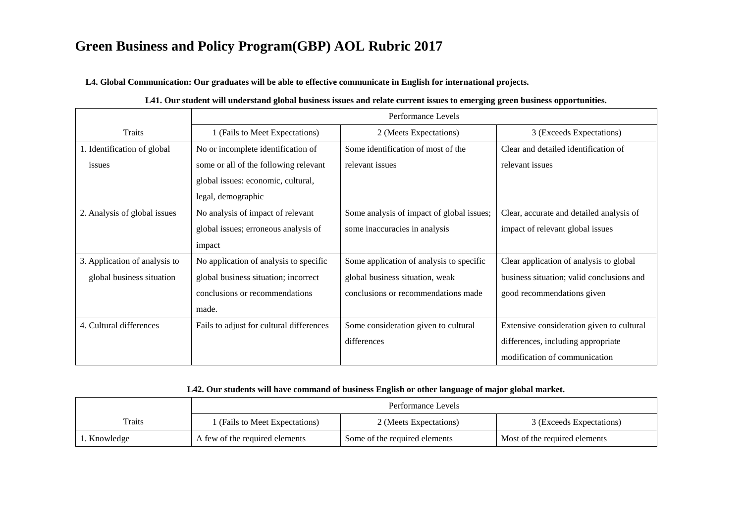**L4. Global Communication: Our graduates will be able to effective communicate in English for international projects.**

|                               | Performance Levels                       |                                           |                                           |
|-------------------------------|------------------------------------------|-------------------------------------------|-------------------------------------------|
| Traits                        | 1 (Fails to Meet Expectations)           | 2 (Meets Expectations)                    | 3 (Exceeds Expectations)                  |
| 1. Identification of global   | No or incomplete identification of       | Some identification of most of the        | Clear and detailed identification of      |
| issues                        | some or all of the following relevant    | relevant issues                           | relevant issues                           |
|                               | global issues: economic, cultural,       |                                           |                                           |
|                               | legal, demographic                       |                                           |                                           |
| 2. Analysis of global issues  | No analysis of impact of relevant        | Some analysis of impact of global issues; | Clear, accurate and detailed analysis of  |
|                               | global issues; erroneous analysis of     | some inaccuracies in analysis             | impact of relevant global issues          |
|                               | impact                                   |                                           |                                           |
| 3. Application of analysis to | No application of analysis to specific   | Some application of analysis to specific  | Clear application of analysis to global   |
| global business situation     | global business situation; incorrect     | global business situation, weak           | business situation; valid conclusions and |
|                               | conclusions or recommendations           | conclusions or recommendations made       | good recommendations given                |
|                               | made.                                    |                                           |                                           |
| 4. Cultural differences       | Fails to adjust for cultural differences | Some consideration given to cultural      | Extensive consideration given to cultural |
|                               |                                          | differences                               | differences, including appropriate        |
|                               |                                          |                                           | modification of communication             |

#### **L41. Our student will understand global business issues and relate current issues to emerging green business opportunities.**

#### **L42. Our students will have command of business English or other language of major global market.**

|             | Performance Levels             |                               |                               |
|-------------|--------------------------------|-------------------------------|-------------------------------|
| Traits      | 1 (Fails to Meet Expectations) | 2 (Meets Expectations)        | 3 (Exceeds Expectations)      |
| . Knowledge | A few of the required elements | Some of the required elements | Most of the required elements |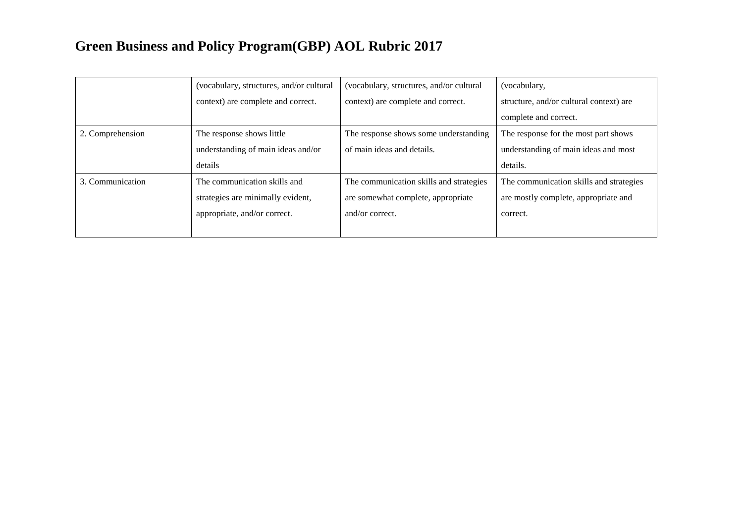|                  | (vocabulary, structures, and/or cultural | (vocabulary, structures, and/or cultural) | (vocabulary,                            |
|------------------|------------------------------------------|-------------------------------------------|-----------------------------------------|
|                  | context) are complete and correct.       | context) are complete and correct.        | structure, and/or cultural context) are |
|                  |                                          |                                           | complete and correct.                   |
| 2. Comprehension | The response shows little                | The response shows some understanding     | The response for the most part shows    |
|                  | understanding of main ideas and/or       | of main ideas and details.                | understanding of main ideas and most    |
|                  | details                                  |                                           | details.                                |
| 3. Communication | The communication skills and             | The communication skills and strategies   | The communication skills and strategies |
|                  | strategies are minimally evident,        | are somewhat complete, appropriate        | are mostly complete, appropriate and    |
|                  | appropriate, and/or correct.             | and/or correct.                           | correct.                                |
|                  |                                          |                                           |                                         |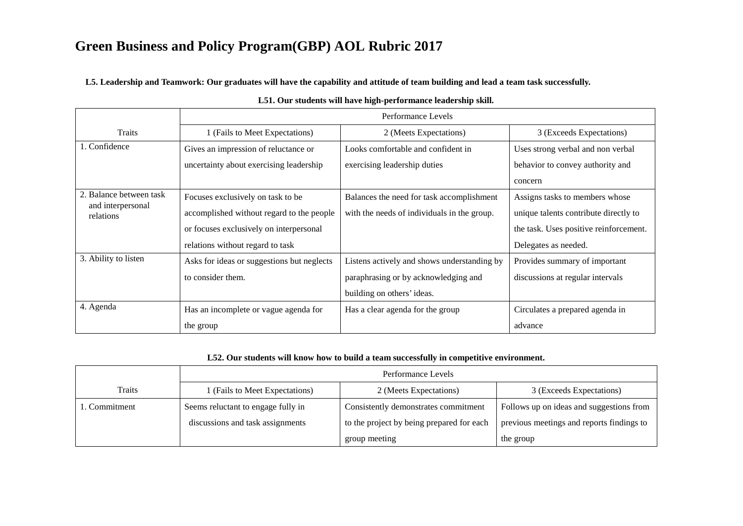**L5. Leadership and Teamwork: Our graduates will have the capability and attitude of team building and lead a team task successfully.**

|                                | Performance Levels                         |                                             |                                        |
|--------------------------------|--------------------------------------------|---------------------------------------------|----------------------------------------|
| <b>Traits</b>                  | 1 (Fails to Meet Expectations)             | 2 (Meets Expectations)                      | 3 (Exceeds Expectations)               |
| 1. Confidence                  | Gives an impression of reluctance or       | Looks comfortable and confident in          | Uses strong verbal and non verbal      |
|                                | uncertainty about exercising leadership    | exercising leadership duties                | behavior to convey authority and       |
|                                |                                            |                                             | concern                                |
| 2. Balance between task        | Focuses exclusively on task to be          | Balances the need for task accomplishment   | Assigns tasks to members whose         |
| and interpersonal<br>relations | accomplished without regard to the people  | with the needs of individuals in the group. | unique talents contribute directly to  |
|                                | or focuses exclusively on interpersonal    |                                             | the task. Uses positive reinforcement. |
|                                | relations without regard to task           |                                             | Delegates as needed.                   |
| 3. Ability to listen           | Asks for ideas or suggestions but neglects | Listens actively and shows understanding by | Provides summary of important          |
|                                | to consider them.                          | paraphrasing or by acknowledging and        | discussions at regular intervals       |
|                                |                                            | building on others' ideas.                  |                                        |
| 4. Agenda                      | Has an incomplete or vague agenda for      | Has a clear agenda for the group            | Circulates a prepared agenda in        |
|                                | the group                                  |                                             | advance                                |

#### **L51. Our students will have high-performance leadership skill.**

#### **L52. Our students will know how to build a team successfully in competitive environment.**

|               | Performance Levels                 |                                           |                                           |
|---------------|------------------------------------|-------------------------------------------|-------------------------------------------|
| <b>Traits</b> | 1 (Fails to Meet Expectations)     | 2 (Meets Expectations)                    | 3 (Exceeds Expectations)                  |
| 1. Commitment | Seems reluctant to engage fully in | Consistently demonstrates commitment      | Follows up on ideas and suggestions from  |
|               | discussions and task assignments   | to the project by being prepared for each | previous meetings and reports findings to |
|               |                                    | group meeting                             | the group                                 |